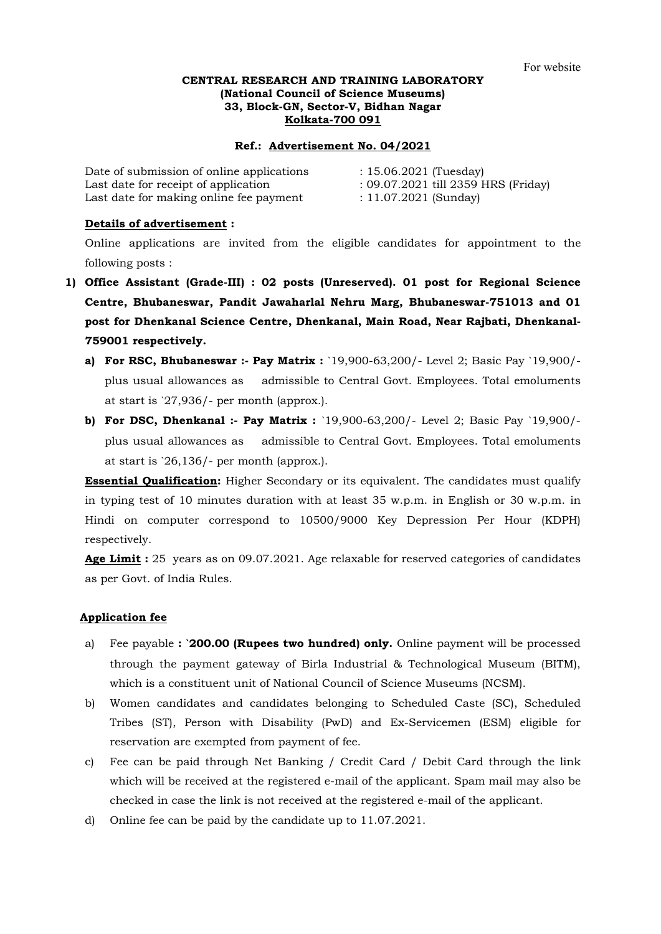## **CENTRAL RESEARCH AND TRAINING LABORATORY (National Council of Science Museums) 33, Block-GN, Sector-V, Bidhan Nagar Kolkata-700 091**

### **Ref.: Advertisement No. 04/2021**

| Date of submission of online applications | $: 15.06.2021$ (Tuesday)            |
|-------------------------------------------|-------------------------------------|
| Last date for receipt of application      | : 09.07.2021 till 2359 HRS (Friday) |
| Last date for making online fee payment   | : 11.07.2021 (Sunday)               |

### **Details of advertisement :**

Online applications are invited from the eligible candidates for appointment to the following posts :

- **1) Office Assistant (Grade-III) : 02 posts (Unreserved). 01 post for Regional Science Centre, Bhubaneswar, Pandit Jawaharlal Nehru Marg, Bhubaneswar-751013 and 01 post for Dhenkanal Science Centre, Dhenkanal, Main Road, Near Rajbati, Dhenkanal-759001 respectively.**
	- **a) For RSC, Bhubaneswar :- Pay Matrix :** `19,900-63,200/- Level 2; Basic Pay `19,900/ plus usual allowances as admissible to Central Govt. Employees. Total emoluments at start is `27,936/- per month (approx.).
	- **b) For DSC, Dhenkanal :- Pay Matrix :** `19,900-63,200/- Level 2; Basic Pay `19,900/ plus usual allowances as admissible to Central Govt. Employees. Total emoluments at start is `26,136/- per month (approx.).

**Essential Qualification:** Higher Secondary or its equivalent. The candidates must qualify in typing test of 10 minutes duration with at least 35 w.p.m. in English or 30 w.p.m. in Hindi on computer correspond to 10500/9000 Key Depression Per Hour (KDPH) respectively.

**Age Limit :** 25 years as on 09.07.2021. Age relaxable for reserved categories of candidates as per Govt. of India Rules.

## **Application fee**

- a) Fee payable **: `200.00 (Rupees two hundred) only.** Online payment will be processed through the payment gateway of Birla Industrial & Technological Museum (BITM), which is a constituent unit of National Council of Science Museums (NCSM).
- b) Women candidates and candidates belonging to Scheduled Caste (SC), Scheduled Tribes (ST), Person with Disability (PwD) and Ex-Servicemen (ESM) eligible for reservation are exempted from payment of fee.
- c) Fee can be paid through Net Banking / Credit Card / Debit Card through the link which will be received at the registered e-mail of the applicant. Spam mail may also be checked in case the link is not received at the registered e-mail of the applicant.
- d) Online fee can be paid by the candidate up to 11.07.2021.